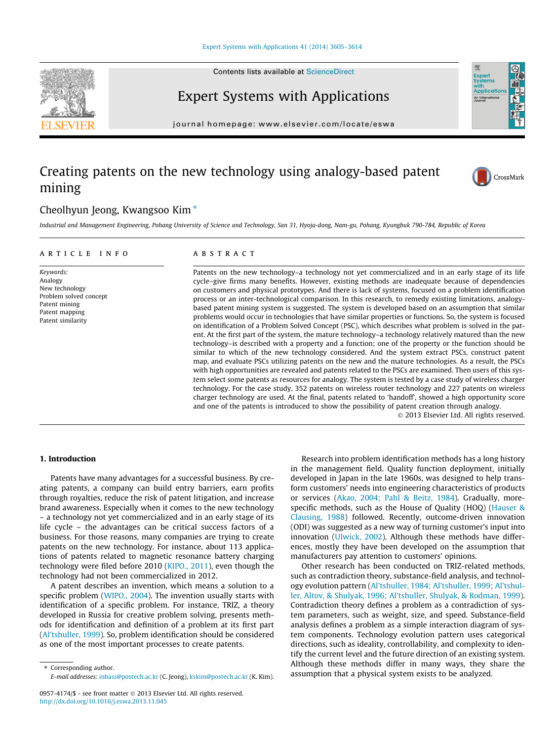Contents lists available at [ScienceDirect](http://www.sciencedirect.com/science/journal/09574174)



journal homepage: [www.elsevier.com/locate/eswa](http://www.elsevier.com/locate/eswa)

## Creating patents on the new technology using analogy-based patent mining

### Cheolhyun Jeong, Kwangsoo Kim  $*$

Industrial and Management Engineering, Pohang University of Science and Technology, San 31, Hyoja-dong, Nam-gu, Pohang, Kyungbuk 790-784, Republic of Korea

#### article info

Keywords: Analogy New technology Problem solved concept Patent mining Patent mapping Patent similarity

#### **ABSTRACT**

Patents on the new technology–a technology not yet commercialized and in an early stage of its life cycle–give firms many benefits. However, existing methods are inadequate because of dependencies on customers and physical prototypes. And there is lack of systems, focused on a problem identification process or an inter-technological comparison. In this research, to remedy existing limitations, analogybased patent mining system is suggested. The system is developed based on an assumption that similar problems would occur in technologies that have similar properties or functions. So, the system is focused on identification of a Problem Solved Concept (PSC), which describes what problem is solved in the patent. At the first part of the system, the mature technology–a technology relatively matured than the new technology–is described with a property and a function; one of the property or the function should be similar to which of the new technology considered. And the system extract PSCs, construct patent map, and evaluate PSCs utilizing patents on the new and the mature technologies. As a result, the PSCs with high opportunities are revealed and patents related to the PSCs are examined. Then users of this system select some patents as resources for analogy. The system is tested by a case study of wireless charger technology. For the case study, 352 patents on wireless router technology and 227 patents on wireless charger technology are used. At the final, patents related to 'handoff', showed a high opportunity score and one of the patents is introduced to show the possibility of patent creation through analogy.

- 2013 Elsevier Ltd. All rights reserved.

#### 1. Introduction

Patents have many advantages for a successful business. By creating patents, a company can build entry barriers, earn profits through royalties, reduce the risk of patent litigation, and increase brand awareness. Especially when it comes to the new technology – a technology not yet commercialized and in an early stage of its life cycle – the advantages can be critical success factors of a business. For those reasons, many companies are trying to create patents on the new technology. For instance, about 113 applications of patents related to magnetic resonance battery charging technology were filed before 2010 [\(KIPO., 2011](#page--1-0)), even though the technology had not been commercialized in 2012.

A patent describes an invention, which means a solution to a specific problem [\(WIPO., 2004\)](#page--1-0). The invention usually starts with identification of a specific problem. For instance, TRIZ, a theory developed in Russia for creative problem solving, presents methods for identification and definition of a problem at its first part ([Al'tshuller, 1999](#page--1-0)). So, problem identification should be considered as one of the most important processes to create patents.

⇑ Corresponding author. E-mail addresses: [inbass@postech.ac.kr](mailto:inbass@postech.ac.kr) (C. Jeong), [kskim@postech.ac.kr](mailto:kskim@postech.ac.kr) (K. Kim).

Research into problem identification methods has a long history in the management field. Quality function deployment, initially developed in Japan in the late 1960s, was designed to help transform customers' needs into engineering characteristics of products or services [\(Akao, 2004; Pahl & Beitz, 1984](#page--1-0)). Gradually, morespecific methods, such as the House of Quality (HOQ) [\(Hauser &](#page--1-0) [Clausing, 1988](#page--1-0)) followed. Recently, outcome-driven innovation (ODI) was suggested as a new way of turning customer's input into innovation ([Ulwick, 2002\)](#page--1-0). Although these methods have differences, mostly they have been developed on the assumption that manufacturers pay attention to customers' opinions.

Other research has been conducted on TRIZ-related methods, such as contradiction theory, substance-field analysis, and technology evolution pattern [\(Al'tshuller, 1984; Al'tshuller, 1999; Al'tshul](#page--1-0)[ler, Altov, & Shulyak, 1996; Al'tshuller, Shulyak, & Rodman, 1999\)](#page--1-0). Contradiction theory defines a problem as a contradiction of system parameters, such as weight, size, and speed. Substance-field analysis defines a problem as a simple interaction diagram of system components. Technology evolution pattern uses categorical directions, such as ideality, controllability, and complexity to identify the current level and the future direction of an existing system. Although these methods differ in many ways, they share the assumption that a physical system exists to be analyzed.





Expert<br>System: **Application** An Internation

<sup>0957-4174/\$ -</sup> see front matter © 2013 Elsevier Ltd. All rights reserved. <http://dx.doi.org/10.1016/j.eswa.2013.11.045>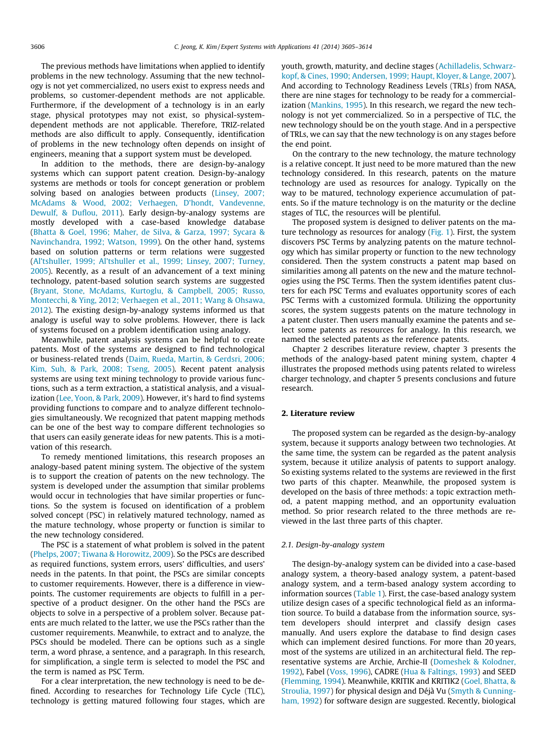The previous methods have limitations when applied to identify problems in the new technology. Assuming that the new technology is not yet commercialized, no users exist to express needs and problems, so customer-dependent methods are not applicable. Furthermore, if the development of a technology is in an early stage, physical prototypes may not exist, so physical-systemdependent methods are not applicable. Therefore, TRIZ-related methods are also difficult to apply. Consequently, identification of problems in the new technology often depends on insight of engineers, meaning that a support system must be developed.

In addition to the methods, there are design-by-analogy systems which can support patent creation. Design-by-analogy systems are methods or tools for concept generation or problem solving based on analogies between products [\(Linsey, 2007;](#page--1-0) [McAdams & Wood, 2002; Verhaegen, D'hondt, Vandevenne,](#page--1-0) [Dewulf, & Duflou, 2011](#page--1-0)). Early design-by-analogy systems are mostly developed with a case-based knowledge database ([Bhatta & Goel, 1996; Maher, de Silva, & Garza, 1997; Sycara &](#page--1-0) [Navinchandra, 1992; Watson, 1999\)](#page--1-0). On the other hand, systems based on solution patterns or term relations were suggested ([Al'tshuller, 1999; Al'tshuller et al., 1999; Linsey, 2007; Turney,](#page--1-0) [2005\)](#page--1-0). Recently, as a result of an advancement of a text mining technology, patent-based solution search systems are suggested ([Bryant, Stone, McAdams, Kurtoglu, & Campbell, 2005; Russo,](#page--1-0) [Montecchi, & Ying, 2012; Verhaegen et al., 2011; Wang & Ohsawa,](#page--1-0) [2012\)](#page--1-0). The existing design-by-analogy systems informed us that analogy is useful way to solve problems. However, there is lack of systems focused on a problem identification using analogy.

Meanwhile, patent analysis systems can be helpful to create patents. Most of the systems are designed to find technological or business-related trends [\(Daim, Rueda, Martin, & Gerdsri, 2006;](#page--1-0) [Kim, Suh, & Park, 2008; Tseng, 2005](#page--1-0)). Recent patent analysis systems are using text mining technology to provide various functions, such as a term extraction, a statistical analysis, and a visualization ([Lee, Yoon, & Park, 2009](#page--1-0)). However, it's hard to find systems providing functions to compare and to analyze different technologies simultaneously. We recognized that patent mapping methods can be one of the best way to compare different technologies so that users can easily generate ideas for new patents. This is a motivation of this research.

To remedy mentioned limitations, this research proposes an analogy-based patent mining system. The objective of the system is to support the creation of patents on the new technology. The system is developed under the assumption that similar problems would occur in technologies that have similar properties or functions. So the system is focused on identification of a problem solved concept (PSC) in relatively matured technology, named as the mature technology, whose property or function is similar to the new technology considered.

The PSC is a statement of what problem is solved in the patent ([Phelps, 2007; Tiwana & Horowitz, 2009\)](#page--1-0). So the PSCs are described as required functions, system errors, users' difficulties, and users' needs in the patents. In that point, the PSCs are similar concepts to customer requirements. However, there is a difference in viewpoints. The customer requirements are objects to fulfill in a perspective of a product designer. On the other hand the PSCs are objects to solve in a perspective of a problem solver. Because patents are much related to the latter, we use the PSCs rather than the customer requirements. Meanwhile, to extract and to analyze, the PSCs should be modeled. There can be options such as a single term, a word phrase, a sentence, and a paragraph. In this research, for simplification, a single term is selected to model the PSC and the term is named as PSC Term.

For a clear interpretation, the new technology is need to be defined. According to researches for Technology Life Cycle (TLC), technology is getting matured following four stages, which are youth, growth, maturity, and decline stages [\(Achilladelis, Schwarz](#page--1-0)[kopf, & Cines, 1990; Andersen, 1999; Haupt, Kloyer, & Lange, 2007\)](#page--1-0). And according to Technology Readiness Levels (TRLs) from NASA, there are nine stages for technology to be ready for a commercialization [\(Mankins, 1995\)](#page--1-0). In this research, we regard the new technology is not yet commercialized. So in a perspective of TLC, the new technology should be on the youth stage. And in a perspective of TRLs, we can say that the new technology is on any stages before the end point.

On the contrary to the new technology, the mature technology is a relative concept. It just need to be more matured than the new technology considered. In this research, patents on the mature technology are used as resources for analogy. Typically on the way to be matured, technology experience accumulation of patents. So if the mature technology is on the maturity or the decline stages of TLC, the resources will be plentiful.

The proposed system is designed to deliver patents on the mature technology as resources for analogy ([Fig. 1](#page--1-0)). First, the system discovers PSC Terms by analyzing patents on the mature technology which has similar property or function to the new technology considered. Then the system constructs a patent map based on similarities among all patents on the new and the mature technologies using the PSC Terms. Then the system identifies patent clusters for each PSC Terms and evaluates opportunity scores of each PSC Terms with a customized formula. Utilizing the opportunity scores, the system suggests patents on the mature technology in a patent cluster. Then users manually examine the patents and select some patents as resources for analogy. In this research, we named the selected patents as the reference patents.

Chapter 2 describes literature review, chapter 3 presents the methods of the analogy-based patent mining system, chapter 4 illustrates the proposed methods using patents related to wireless charger technology, and chapter 5 presents conclusions and future research.

#### 2. Literature review

The proposed system can be regarded as the design-by-analogy system, because it supports analogy between two technologies. At the same time, the system can be regarded as the patent analysis system, because it utilize analysis of patents to support analogy. So existing systems related to the systems are reviewed in the first two parts of this chapter. Meanwhile, the proposed system is developed on the basis of three methods: a topic extraction method, a patent mapping method, and an opportunity evaluation method. So prior research related to the three methods are reviewed in the last three parts of this chapter.

#### 2.1. Design-by-analogy system

The design-by-analogy system can be divided into a case-based analogy system, a theory-based analogy system, a patent-based analogy system, and a term-based analogy system according to information sources [\(Table 1](#page--1-0)). First, the case-based analogy system utilize design cases of a specific technological field as an information source. To build a database from the information source, system developers should interpret and classify design cases manually. And users explore the database to find design cases which can implement desired functions. For more than 20 years, most of the systems are utilized in an architectural field. The representative systems are Archie, Archie-II [\(Domeshek & Kolodner,](#page--1-0) [1992\)](#page--1-0), Fabel [\(Voss, 1996](#page--1-0)), CADRE ([Hua & Faltings, 1993\)](#page--1-0) and SEED ([Flemming, 1994\)](#page--1-0). Meanwhile, KRITIK and KRITIK2 ([Goel, Bhatta, &](#page--1-0) [Stroulia, 1997](#page--1-0)) for physical design and Déjà Vu [\(Smyth & Cunning](#page--1-0)[ham, 1992\)](#page--1-0) for software design are suggested. Recently, biological